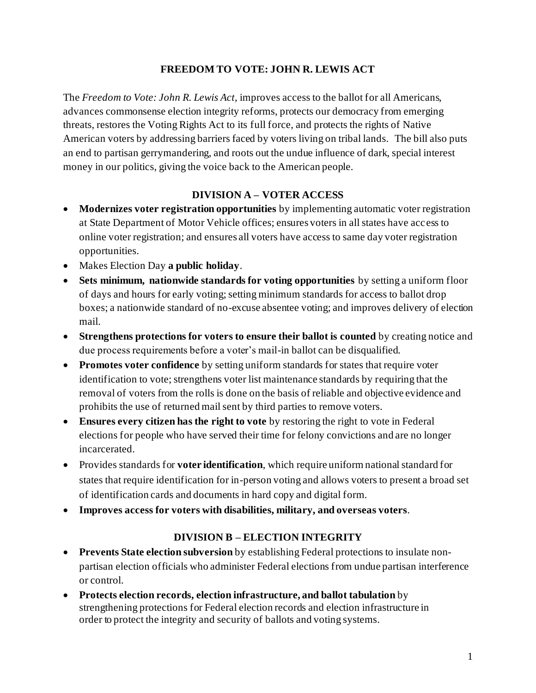## **FREEDOM TO VOTE: JOHN R. LEWIS ACT**

The *Freedom to Vote: John R. Lewis Act*, improves access to the ballot for all Americans, advances commonsense election integrity reforms, protects our democracy from emerging threats, restores the Voting Rights Act to its full force, and protects the rights of Native American voters by addressing barriers faced by voters living on tribal lands. The bill also puts an end to partisan gerrymandering, and roots out the undue influence of dark, special interest money in our politics, giving the voice back to the American people.

### **DIVISION A – VOTER ACCESS**

- **Modernizes voter registration opportunities** by implementing automatic voter registration at State Department of Motor Vehicle offices; ensures voters in all states have access to online voter registration; and ensures all voters have access to same day voter registration opportunities.
- Makes Election Day **a public holiday**.
- **Sets minimum, nationwide standards for voting opportunities** by setting a uniform floor of days and hours for early voting; setting minimum standards for access to ballot drop boxes; a nationwide standard of no-excuse absentee voting; and improves delivery of election mail.
- **Strengthens protections for voters to ensure their ballot is counted** by creating notice and due process requirements before a voter's mail-in ballot can be disqualified.
- **Promotes voter confidence** by setting uniform standards for states that require voter identification to vote; strengthens voter list maintenance standards by requiring that the removal of voters from the rolls is done on the basis of reliable and objective evidence and prohibits the use of returned mail sent by third parties to remove voters.
- **Ensures every citizen has the right to vote** by restoring the right to vote in Federal elections for people who have served their time for felony convictions and are no longer incarcerated.
- Provides standards for **voter identification**, which require uniform national standard for states that require identification for in-person voting and allows voters to present a broad set of identification cards and documents in hard copy and digital form.
- **Improves access for voters with disabilities, military, and overseas voters**.

#### **DIVISION B – ELECTION INTEGRITY**

- **Prevents State election subversion** by establishing Federal protections to insulate nonpartisan election officials who administer Federal elections from undue partisan interference or control.
- **Protects election records, election infrastructure, and ballot tabulation** by strengthening protections for Federal election records and election infrastructure in order to protect the integrity and security of ballots and voting systems.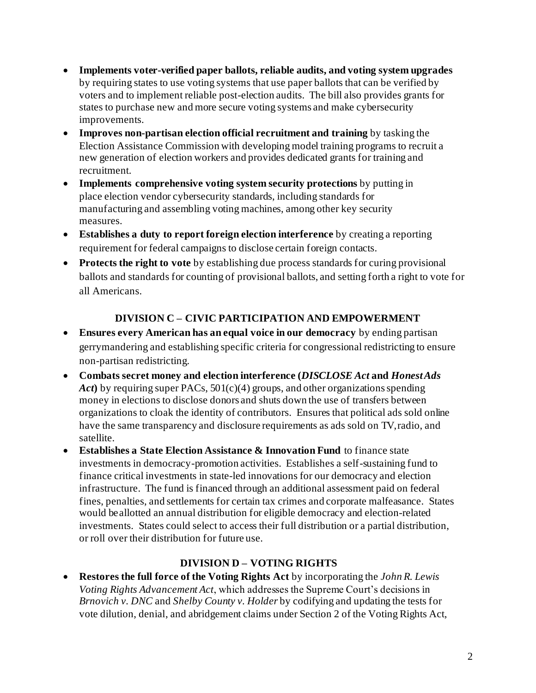- **Implements voter-verified paper ballots, reliable audits, and voting system upgrades**  by requiring states to use voting systems that use paper ballots that can be verified by voters and to implement reliable post-election audits. The bill also provides grants for states to purchase new and more secure voting systems and make cybersecurity improvements.
- **Improves non-partisan election official recruitment and training** by tasking the Election Assistance Commission with developing model training programs to recruit a new generation of election workers and provides dedicated grants for training and recruitment.
- **Implements comprehensive voting system security protections** by putting in place election vendor cybersecurity standards, including standards for manufacturing and assembling voting machines, among other key security measures.
- **Establishes a duty to report foreign election interference** by creating a reporting requirement for federal campaigns to disclose certain foreign contacts.
- **Protects the right to vote** by establishing due process standards for curing provisional ballots and standards for counting of provisional ballots, and setting forth a right to vote for all Americans.

# **DIVISION C – CIVIC PARTICIPATION AND EMPOWERMENT**

- **Ensures every American has an equal voice in our democracy** by ending partisan gerrymandering and establishing specific criteria for congressional redistricting to ensure non-partisan redistricting.
- **Combats secret money and election interference (***DISCLOSE Act* **and** *HonestAds Act***)** by requiring super PACs, 501(c)(4) groups, and other organizations spending money in elections to disclose donors and shuts down the use of transfers between organizations to cloak the identity of contributors. Ensures that political ads sold online have the same transparency and disclosure requirements as ads sold on TV, radio, and satellite.
- **Establishes a State Election Assistance & Innovation Fund** to finance state investments in democracy-promotion activities. Establishes a self-sustaining fund to finance critical investments in state-led innovations for our democracy and election infrastructure. The fund is financed through an additional assessment paid on federal fines, penalties, and settlements for certain tax crimes and corporate malfeasance. States would be allotted an annual distribution for eligible democracy and election-related investments. States could select to access their full distribution or a partial distribution, or roll over their distribution for future use.

## **DIVISION D – VOTING RIGHTS**

• **Restores the full force of the Voting Rights Act** by incorporating the *John R. Lewis Voting Rights Advancement Act*, which addresses the Supreme Court's decisions in *Brnovich v. DNC* and *Shelby County v. Holder* by codifying and updating the tests for vote dilution, denial, and abridgement claims under Section 2 of the Voting Rights Act,